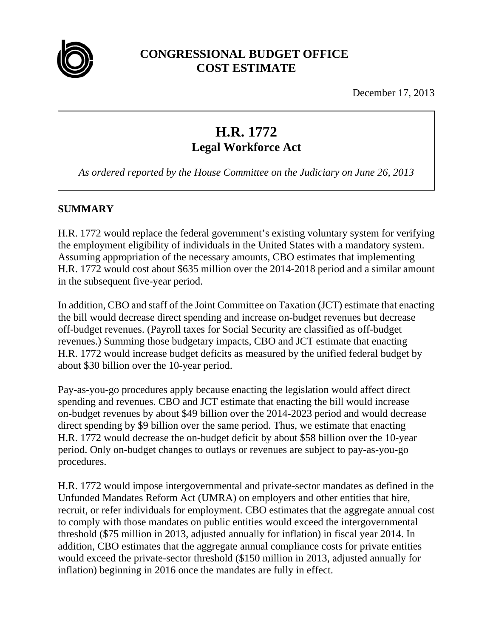

## **CONGRESSIONAL BUDGET OFFICE COST ESTIMATE**

December 17, 2013

# **H.R. 1772 Legal Workforce Act**

*As ordered reported by the House Committee on the Judiciary on June 26, 2013* 

## **SUMMARY**

H.R. 1772 would replace the federal government's existing voluntary system for verifying the employment eligibility of individuals in the United States with a mandatory system. Assuming appropriation of the necessary amounts, CBO estimates that implementing H.R. 1772 would cost about \$635 million over the 2014-2018 period and a similar amount in the subsequent five-year period.

In addition, CBO and staff of the Joint Committee on Taxation (JCT) estimate that enacting the bill would decrease direct spending and increase on-budget revenues but decrease off-budget revenues. (Payroll taxes for Social Security are classified as off-budget revenues.) Summing those budgetary impacts, CBO and JCT estimate that enacting H.R. 1772 would increase budget deficits as measured by the unified federal budget by about \$30 billion over the 10-year period.

Pay-as-you-go procedures apply because enacting the legislation would affect direct spending and revenues. CBO and JCT estimate that enacting the bill would increase on-budget revenues by about \$49 billion over the 2014-2023 period and would decrease direct spending by \$9 billion over the same period. Thus, we estimate that enacting H.R. 1772 would decrease the on-budget deficit by about \$58 billion over the 10-year period. Only on-budget changes to outlays or revenues are subject to pay-as-you-go procedures.

H.R. 1772 would impose intergovernmental and private-sector mandates as defined in the Unfunded Mandates Reform Act (UMRA) on employers and other entities that hire, recruit, or refer individuals for employment. CBO estimates that the aggregate annual cost to comply with those mandates on public entities would exceed the intergovernmental threshold (\$75 million in 2013, adjusted annually for inflation) in fiscal year 2014. In addition, CBO estimates that the aggregate annual compliance costs for private entities would exceed the private-sector threshold (\$150 million in 2013, adjusted annually for inflation) beginning in 2016 once the mandates are fully in effect.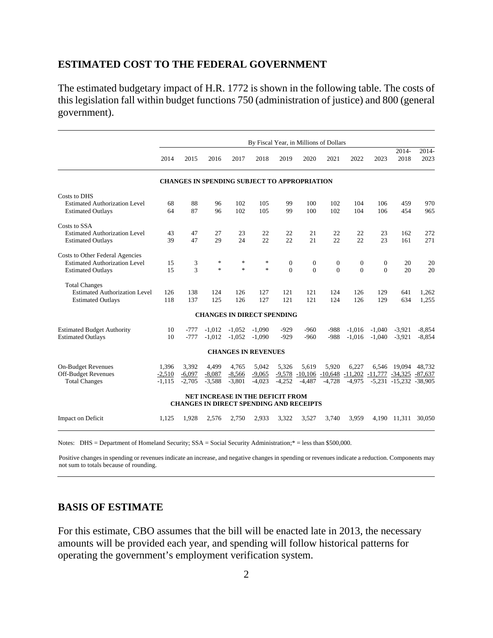#### **ESTIMATED COST TO THE FEDERAL GOVERNMENT**

The estimated budgetary impact of H.R. 1772 is shown in the following table. The costs of this legislation fall within budget functions 750 (administration of justice) and 800 (general government).

|                                      | By Fiscal Year, in Millions of Dollars |          |          |                                                                                           |               |              |                    |              |                |              |                               |               |
|--------------------------------------|----------------------------------------|----------|----------|-------------------------------------------------------------------------------------------|---------------|--------------|--------------------|--------------|----------------|--------------|-------------------------------|---------------|
|                                      | 2014                                   | 2015     | 2016     | 2017                                                                                      | 2018          | 2019         | 2020               | 2021         | 2022           | 2023         | $2014 -$<br>2018              | 2014-<br>2023 |
|                                      |                                        |          |          | <b>CHANGES IN SPENDING SUBJECT TO APPROPRIATION</b>                                       |               |              |                    |              |                |              |                               |               |
| Costs to DHS                         |                                        |          |          |                                                                                           |               |              |                    |              |                |              |                               |               |
| <b>Estimated Authorization Level</b> | 68                                     | 88       | 96       | 102                                                                                       | 105           | 99           | 100                | 102          | 104            | 106          | 459                           | 970           |
| <b>Estimated Outlays</b>             | 64                                     | 87       | 96       | 102                                                                                       | 105           | 99           | 100                | 102          | 104            | 106          | 454                           | 965           |
| Costs to SSA                         |                                        |          |          |                                                                                           |               |              |                    |              |                |              |                               |               |
| <b>Estimated Authorization Level</b> | 43                                     | 47       | 27       | 23                                                                                        | 22            | 22           | 21                 | 22           | 22             | 23           | 162                           | 272           |
| <b>Estimated Outlays</b>             | 39                                     | 47       | 29       | 24                                                                                        | 22            | 22.          | 21                 | 22           | 22             | 23           | 161                           | 271           |
| Costs to Other Federal Agencies      |                                        |          |          |                                                                                           |               |              |                    |              |                |              |                               |               |
| <b>Estimated Authorization Level</b> | 15                                     | 3        | $\ast$   | $\ast$                                                                                    | $\ast$        | $\mathbf{0}$ | $\overline{0}$     | $\mathbf{0}$ | $\overline{0}$ | $\mathbf{0}$ | 20                            | 20            |
| <b>Estimated Outlays</b>             | 15                                     | 3        | ×.       | $\frac{1}{25}$                                                                            | $\frac{1}{2}$ | $\Omega$     | $\Omega$           | $\Omega$     | $\theta$       | $\Omega$     | 20                            | 20            |
| <b>Total Changes</b>                 |                                        |          |          |                                                                                           |               |              |                    |              |                |              |                               |               |
| <b>Estimated Authorization Level</b> | 126                                    | 138      | 124      | 126                                                                                       | 127           | 121          | 121                | 124          | 126            | 129          | 641                           | 1,262         |
| <b>Estimated Outlays</b>             | 118                                    | 137      | 125      | 126                                                                                       | 127           | 121          | 121                | 124          | 126            | 129          | 634                           | 1,255         |
|                                      |                                        |          |          | <b>CHANGES IN DIRECT SPENDING</b>                                                         |               |              |                    |              |                |              |                               |               |
| <b>Estimated Budget Authority</b>    | 10                                     | $-777$   | $-1.012$ | $-1.052$                                                                                  | $-1.090$      | $-929$       | -960               | $-988$       | $-1.016$       | $-1.040$     | $-3.921$                      | $-8.854$      |
| <b>Estimated Outlays</b>             | 10                                     | $-777$   | $-1,012$ | $-1,052$                                                                                  | $-1,090$      | $-929$       | $-960$             | $-988$       | $-1,016$       | $-1,040$     | $-3,921$                      | $-8.854$      |
|                                      |                                        |          |          | <b>CHANGES IN REVENUES</b>                                                                |               |              |                    |              |                |              |                               |               |
| <b>On-Budget Revenues</b>            | 1.396                                  | 3.392    | 4,499    | 4.765                                                                                     | 5.042         | 5.326        | 5.619              | 5.920        | 6,227          |              | 6.546 19.094                  | 48.732        |
| <b>Off-Budget Revenues</b>           | $-2,510$                               | $-6,097$ | $-8,087$ | $-8,566$                                                                                  | $-9,065$      |              | $-9,578$ $-10,106$ | $-10,648$    |                |              | $-11,202$ $-11,777$ $-34,325$ | $-87,637$     |
| <b>Total Changes</b>                 | $-1,115$                               | $-2,705$ | $-3,588$ | $-3,801$                                                                                  | $-4,023$      | $-4,252$     | $-4,487$           | $-4,728$     | $-4,975$       |              | $-5,231$ $-15,232$ $-38,905$  |               |
|                                      |                                        |          |          | <b>NET INCREASE IN THE DEFICIT FROM</b><br><b>CHANGES IN DIRECT SPENDING AND RECEIPTS</b> |               |              |                    |              |                |              |                               |               |
| Impact on Deficit                    | 1,125                                  | 1,928    | 2,576    | 2,750                                                                                     | 2,933         | 3,322        | 3,527              | 3,740        | 3,959          | 4,190        | 11,311                        | 30,050        |

Notes: DHS = Department of Homeland Security; SSA = Social Security Administration;\* = less than \$500,000.

 Positive changes in spending or revenues indicate an increase, and negative changes in spending or revenues indicate a reduction. Components may not sum to totals because of rounding.

#### **BASIS OF ESTIMATE**

For this estimate, CBO assumes that the bill will be enacted late in 2013, the necessary amounts will be provided each year, and spending will follow historical patterns for operating the government's employment verification system.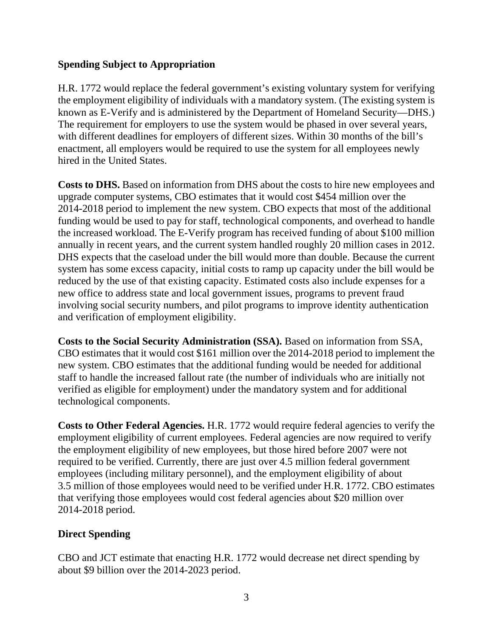#### **Spending Subject to Appropriation**

H.R. 1772 would replace the federal government's existing voluntary system for verifying the employment eligibility of individuals with a mandatory system. (The existing system is known as E-Verify and is administered by the Department of Homeland Security—DHS.) The requirement for employers to use the system would be phased in over several years, with different deadlines for employers of different sizes. Within 30 months of the bill's enactment, all employers would be required to use the system for all employees newly hired in the United States.

**Costs to DHS.** Based on information from DHS about the costs to hire new employees and upgrade computer systems, CBO estimates that it would cost \$454 million over the 2014-2018 period to implement the new system. CBO expects that most of the additional funding would be used to pay for staff, technological components, and overhead to handle the increased workload. The E-Verify program has received funding of about \$100 million annually in recent years, and the current system handled roughly 20 million cases in 2012. DHS expects that the caseload under the bill would more than double. Because the current system has some excess capacity, initial costs to ramp up capacity under the bill would be reduced by the use of that existing capacity. Estimated costs also include expenses for a new office to address state and local government issues, programs to prevent fraud involving social security numbers, and pilot programs to improve identity authentication and verification of employment eligibility.

**Costs to the Social Security Administration (SSA).** Based on information from SSA, CBO estimates that it would cost \$161 million over the 2014-2018 period to implement the new system. CBO estimates that the additional funding would be needed for additional staff to handle the increased fallout rate (the number of individuals who are initially not verified as eligible for employment) under the mandatory system and for additional technological components.

**Costs to Other Federal Agencies.** H.R. 1772 would require federal agencies to verify the employment eligibility of current employees. Federal agencies are now required to verify the employment eligibility of new employees, but those hired before 2007 were not required to be verified. Currently, there are just over 4.5 million federal government employees (including military personnel), and the employment eligibility of about 3.5 million of those employees would need to be verified under H.R. 1772. CBO estimates that verifying those employees would cost federal agencies about \$20 million over 2014-2018 period.

## **Direct Spending**

CBO and JCT estimate that enacting H.R. 1772 would decrease net direct spending by about \$9 billion over the 2014-2023 period.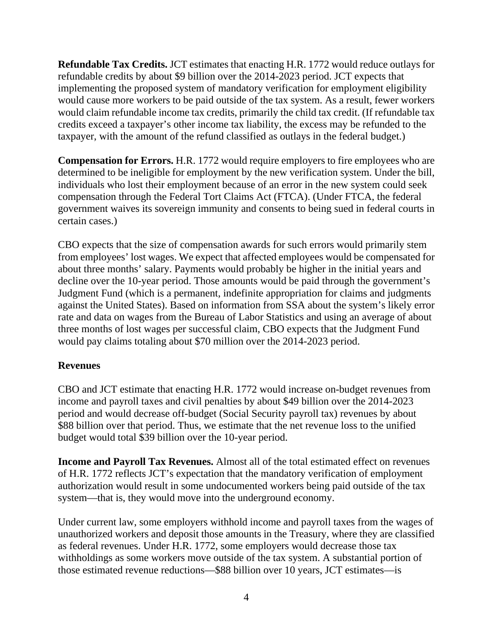**Refundable Tax Credits.** JCT estimates that enacting H.R. 1772 would reduce outlays for refundable credits by about \$9 billion over the 2014-2023 period. JCT expects that implementing the proposed system of mandatory verification for employment eligibility would cause more workers to be paid outside of the tax system. As a result, fewer workers would claim refundable income tax credits, primarily the child tax credit. (If refundable tax credits exceed a taxpayer's other income tax liability, the excess may be refunded to the taxpayer, with the amount of the refund classified as outlays in the federal budget.)

**Compensation for Errors.** H.R. 1772 would require employers to fire employees who are determined to be ineligible for employment by the new verification system. Under the bill, individuals who lost their employment because of an error in the new system could seek compensation through the Federal Tort Claims Act (FTCA). (Under FTCA, the federal government waives its sovereign immunity and consents to being sued in federal courts in certain cases.)

CBO expects that the size of compensation awards for such errors would primarily stem from employees' lost wages. We expect that affected employees would be compensated for about three months' salary. Payments would probably be higher in the initial years and decline over the 10-year period. Those amounts would be paid through the government's Judgment Fund (which is a permanent, indefinite appropriation for claims and judgments against the United States). Based on information from SSA about the system's likely error rate and data on wages from the Bureau of Labor Statistics and using an average of about three months of lost wages per successful claim, CBO expects that the Judgment Fund would pay claims totaling about \$70 million over the 2014-2023 period.

## **Revenues**

CBO and JCT estimate that enacting H.R. 1772 would increase on-budget revenues from income and payroll taxes and civil penalties by about \$49 billion over the 2014-2023 period and would decrease off-budget (Social Security payroll tax) revenues by about \$88 billion over that period. Thus, we estimate that the net revenue loss to the unified budget would total \$39 billion over the 10-year period.

**Income and Payroll Tax Revenues.** Almost all of the total estimated effect on revenues of H.R. 1772 reflects JCT's expectation that the mandatory verification of employment authorization would result in some undocumented workers being paid outside of the tax system—that is, they would move into the underground economy.

Under current law, some employers withhold income and payroll taxes from the wages of unauthorized workers and deposit those amounts in the Treasury, where they are classified as federal revenues. Under H.R. 1772, some employers would decrease those tax withholdings as some workers move outside of the tax system. A substantial portion of those estimated revenue reductions—\$88 billion over 10 years, JCT estimates—is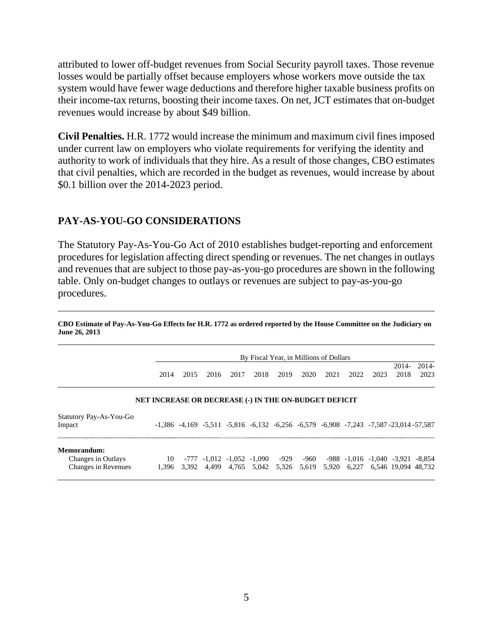attributed to lower off-budget revenues from Social Security payroll taxes. Those revenue losses would be partially offset because employers whose workers move outside the tax system would have fewer wage deductions and therefore higher taxable business profits on their income-tax returns, boosting their income taxes. On net, JCT estimates that on-budget revenues would increase by about \$49 billion.

**Civil Penalties.** H.R. 1772 would increase the minimum and maximum civil fines imposed under current law on employers who violate requirements for verifying the identity and authority to work of individuals that they hire. As a result of those changes, CBO estimates that civil penalties, which are recorded in the budget as revenues, would increase by about \$0.1 billion over the 2014-2023 period.

#### **PAY-AS-YOU-GO CONSIDERATIONS**

The Statutory Pay-As-You-Go Act of 2010 establishes budget-reporting and enforcement procedures for legislation affecting direct spending or revenues. The net changes in outlays and revenues that are subject to those pay-as-you-go procedures are shown in the following table. Only on-budget changes to outlays or revenues are subject to pay-as-you-go procedures.

**CBO Estimate of Pay-As-You-Go Effects for H.R. 1772 as ordered reported by the House Committee on the Judiciary on June 26, 2013** 

|                                                          |                                                       | By Fiscal Year, in Millions of Dollars<br>2014- |       |      |      |      |      |      |                                     |      |                                                                                                               | $2014-$ |
|----------------------------------------------------------|-------------------------------------------------------|-------------------------------------------------|-------|------|------|------|------|------|-------------------------------------|------|---------------------------------------------------------------------------------------------------------------|---------|
|                                                          | 2014                                                  | 2015                                            | 2016  | 2017 | 2018 | 2019 | 2020 | 2021 | 2022                                | 2023 | 2018                                                                                                          | 2023    |
|                                                          | NET INCREASE OR DECREASE (-) IN THE ON-BUDGET DEFICIT |                                                 |       |      |      |      |      |      |                                     |      |                                                                                                               |         |
| Statutory Pay-As-You-Go<br>Impact                        |                                                       |                                                 |       |      |      |      |      |      |                                     |      | $-1,386$ $-4,169$ $-5,511$ $-5,816$ $-6,132$ $-6,256$ $-6,579$ $-6,908$ $-7,243$ $-7,587$ $-23,014$ $-57,587$ |         |
| Memorandum:<br>Changes in Outlays<br>Changes in Revenues | 1.396                                                 | 3.392                                           | 4.499 |      |      |      |      |      | 4,765 5,042 5,326 5,619 5,920 6,227 |      | 10 -777 -1,012 -1,052 -1,090 -929 -960 -988 -1,016 -1,040 -3,921 -8,854<br>6.546 19.094 48.732                |         |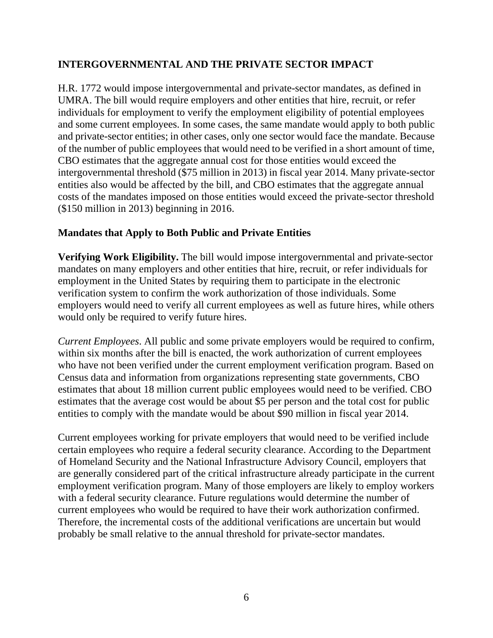## **INTERGOVERNMENTAL AND THE PRIVATE SECTOR IMPACT**

H.R. 1772 would impose intergovernmental and private-sector mandates, as defined in UMRA. The bill would require employers and other entities that hire, recruit, or refer individuals for employment to verify the employment eligibility of potential employees and some current employees. In some cases, the same mandate would apply to both public and private-sector entities; in other cases, only one sector would face the mandate. Because of the number of public employees that would need to be verified in a short amount of time, CBO estimates that the aggregate annual cost for those entities would exceed the intergovernmental threshold (\$75 million in 2013) in fiscal year 2014. Many private-sector entities also would be affected by the bill, and CBO estimates that the aggregate annual costs of the mandates imposed on those entities would exceed the private-sector threshold (\$150 million in 2013) beginning in 2016.

#### **Mandates that Apply to Both Public and Private Entities**

**Verifying Work Eligibility.** The bill would impose intergovernmental and private-sector mandates on many employers and other entities that hire, recruit, or refer individuals for employment in the United States by requiring them to participate in the electronic verification system to confirm the work authorization of those individuals. Some employers would need to verify all current employees as well as future hires, while others would only be required to verify future hires.

*Current Employees*. All public and some private employers would be required to confirm, within six months after the bill is enacted, the work authorization of current employees who have not been verified under the current employment verification program. Based on Census data and information from organizations representing state governments, CBO estimates that about 18 million current public employees would need to be verified. CBO estimates that the average cost would be about \$5 per person and the total cost for public entities to comply with the mandate would be about \$90 million in fiscal year 2014.

Current employees working for private employers that would need to be verified include certain employees who require a federal security clearance. According to the Department of Homeland Security and the National Infrastructure Advisory Council, employers that are generally considered part of the critical infrastructure already participate in the current employment verification program. Many of those employers are likely to employ workers with a federal security clearance. Future regulations would determine the number of current employees who would be required to have their work authorization confirmed. Therefore, the incremental costs of the additional verifications are uncertain but would probably be small relative to the annual threshold for private-sector mandates.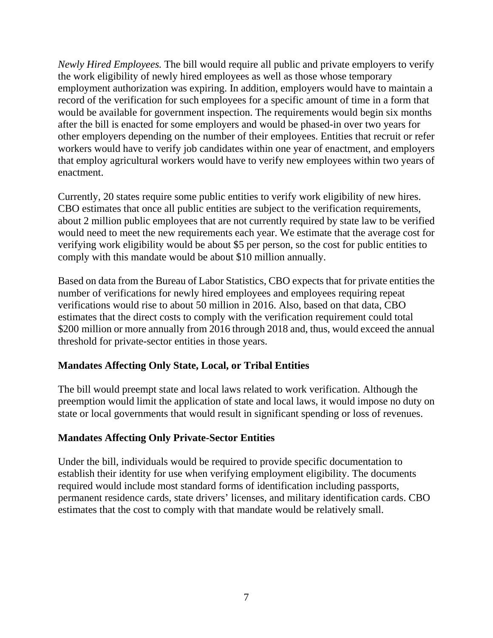*Newly Hired Employees.* The bill would require all public and private employers to verify the work eligibility of newly hired employees as well as those whose temporary employment authorization was expiring. In addition, employers would have to maintain a record of the verification for such employees for a specific amount of time in a form that would be available for government inspection. The requirements would begin six months after the bill is enacted for some employers and would be phased-in over two years for other employers depending on the number of their employees. Entities that recruit or refer workers would have to verify job candidates within one year of enactment, and employers that employ agricultural workers would have to verify new employees within two years of enactment.

Currently, 20 states require some public entities to verify work eligibility of new hires. CBO estimates that once all public entities are subject to the verification requirements, about 2 million public employees that are not currently required by state law to be verified would need to meet the new requirements each year. We estimate that the average cost for verifying work eligibility would be about \$5 per person, so the cost for public entities to comply with this mandate would be about \$10 million annually.

Based on data from the Bureau of Labor Statistics, CBO expects that for private entities the number of verifications for newly hired employees and employees requiring repeat verifications would rise to about 50 million in 2016. Also, based on that data, CBO estimates that the direct costs to comply with the verification requirement could total \$200 million or more annually from 2016 through 2018 and, thus, would exceed the annual threshold for private-sector entities in those years.

## **Mandates Affecting Only State, Local, or Tribal Entities**

The bill would preempt state and local laws related to work verification. Although the preemption would limit the application of state and local laws, it would impose no duty on state or local governments that would result in significant spending or loss of revenues.

#### **Mandates Affecting Only Private-Sector Entities**

Under the bill, individuals would be required to provide specific documentation to establish their identity for use when verifying employment eligibility. The documents required would include most standard forms of identification including passports, permanent residence cards, state drivers' licenses, and military identification cards. CBO estimates that the cost to comply with that mandate would be relatively small.